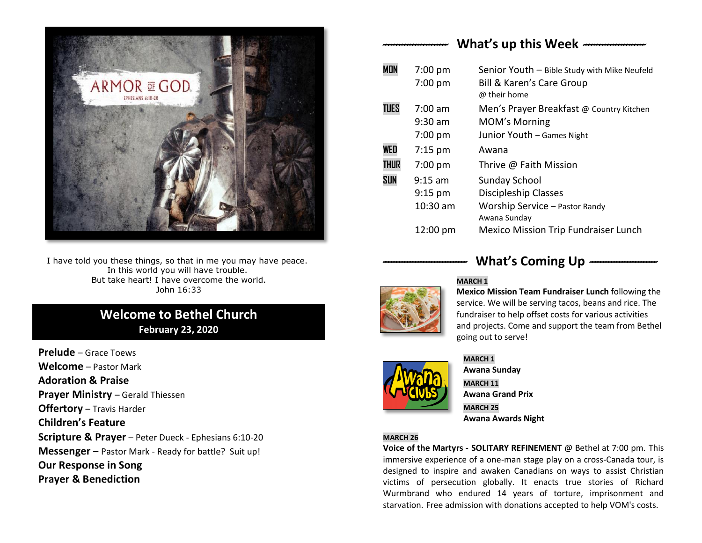

I have told you these things, so that in me you may have peace. In this world you will have trouble. But take heart! I have overcome the world. John 16:33

# **Welcome to Bethel Church February 23, 2020**

**Prelude** – Grace Toews **Welcome** – Pastor Mark **Adoration & Praise Prayer Ministry** – Gerald Thiessen **Offertory** – Travis Harder **Children's Feature Scripture & Prayer** – Peter Dueck - Ephesians 6:10-20 **Messenger** – Pastor Mark - Ready for battle? Suit up! **Our Response in Song Prayer & Benediction**

## *------------------------* **What's up this Week** *-----------------------*

| <b>MON</b>  | $7:00$ pm          | Senior Youth - Bible Study with Mike Neufeld |
|-------------|--------------------|----------------------------------------------|
|             | $7:00$ pm          | <b>Bill &amp; Karen's Care Group</b>         |
|             |                    | @ their home                                 |
| <b>TUES</b> | $7:00$ am          | Men's Prayer Breakfast @ Country Kitchen     |
|             | $9:30$ am          | <b>MOM's Morning</b>                         |
|             | $7:00$ pm          | Junior Youth - Games Night                   |
| WED         | $7:15 \text{ pm}$  | Awana                                        |
| <b>THUR</b> | $7:00$ pm          | Thrive @ Faith Mission                       |
| <b>SUN</b>  | $9:15$ am          | <b>Sunday School</b>                         |
|             | $9:15$ pm          | Discipleship Classes                         |
|             | $10:30$ am         | Worship Service - Pastor Randy               |
|             |                    | Awana Sunday                                 |
|             | $12:00 \text{ pm}$ | <b>Mexico Mission Trip Fundraiser Lunch</b>  |



## What's Coming Up  $-$

#### **MARCH 1**

**Mexico Mission Team Fundraiser Lunch** following the service. We will be serving tacos, beans and rice. The fundraiser to help offset costs for various activities and projects. Come and support the team from Bethel going out to serve!



#### **MARCH 1**

**Awana Sunday MARCH 11 Awana Grand Prix MARCH 25 Awana Awards Night**

#### **MARCH 26**

**Voice of the Martyrs - SOLITARY REFINEMENT** @ Bethel at 7:00 pm. This immersive experience of a one-man stage play on a cross-Canada tour, is designed to inspire and awaken Canadians on ways to assist Christian victims of persecution globally. It enacts true stories of Richard Wurmbrand who endured 14 years of torture, imprisonment and starvation. Free admission with donations accepted to help VOM's costs.